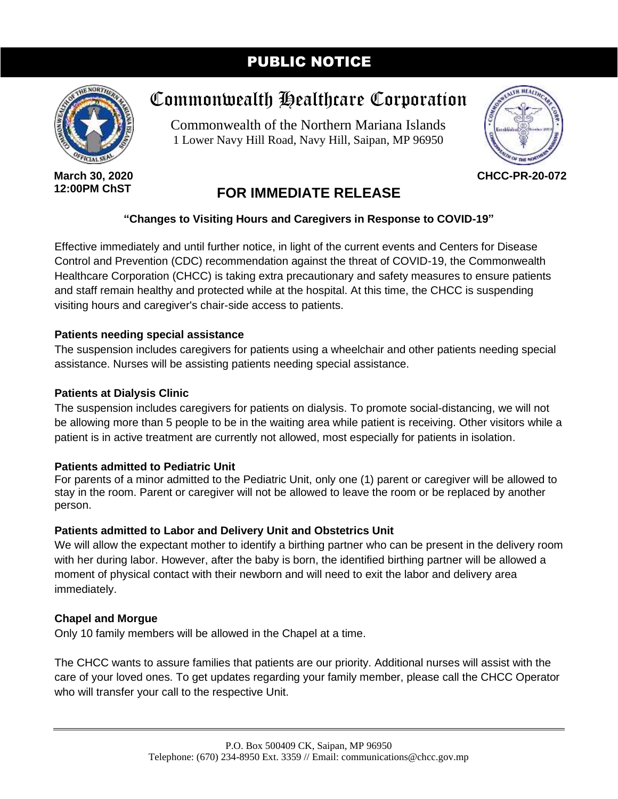# PUBLIC NOTICE



**March 30, 2020 12:00PM ChST**

# Commonwealth Healthcare Corporation

Commonwealth of the Northern Mariana Islands 1 Lower Navy Hill Road, Navy Hill, Saipan, MP 96950



**CHCC-PR-20-072**

# **FOR IMMEDIATE RELEASE**

#### **"Changes to Visiting Hours and Caregivers in Response to COVID-19"**

Effective immediately and until further notice, in light of the current events and Centers for Disease Control and Prevention (CDC) recommendation against the threat of COVID-19, the Commonwealth Healthcare Corporation (CHCC) is taking extra precautionary and safety measures to ensure patients and staff remain healthy and protected while at the hospital. At this time, the CHCC is suspending visiting hours and caregiver's chair-side access to patients.

#### **Patients needing special assistance**

The suspension includes caregivers for patients using a wheelchair and other patients needing special assistance. Nurses will be assisting patients needing special assistance.

#### **Patients at Dialysis Clinic**

The suspension includes caregivers for patients on dialysis. To promote social-distancing, we will not be allowing more than 5 people to be in the waiting area while patient is receiving. Other visitors while a patient is in active treatment are currently not allowed, most especially for patients in isolation.

## **Patients admitted to Pediatric Unit**

For parents of a minor admitted to the Pediatric Unit, only one (1) parent or caregiver will be allowed to stay in the room. Parent or caregiver will not be allowed to leave the room or be replaced by another person.

## **Patients admitted to Labor and Delivery Unit and Obstetrics Unit**

We will allow the expectant mother to identify a birthing partner who can be present in the delivery room with her during labor. However, after the baby is born, the identified birthing partner will be allowed a moment of physical contact with their newborn and will need to exit the labor and delivery area immediately.

## **Chapel and Morgue**

Only 10 family members will be allowed in the Chapel at a time.

The CHCC wants to assure families that patients are our priority. Additional nurses will assist with the care of your loved ones. To get updates regarding your family member, please call the CHCC Operator who will transfer your call to the respective Unit.